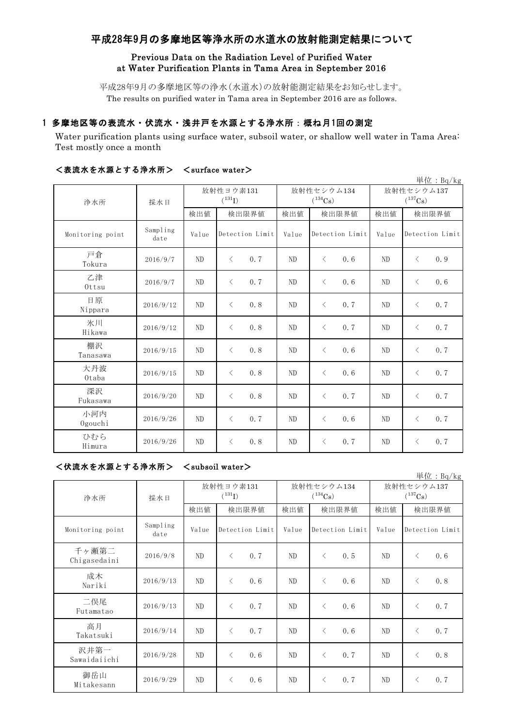# 平成28年9月の多摩地区等浄水所の水道水の放射能測定結果について

### Previous Data on the Radiation Level of Purified Water at Water Purification Plants in Tama Area in September 2016

平成28年9月の多摩地区等の浄水(水道水)の放射能測定結果をお知らせします。 The results on purified water in Tama area in September 2016 are as follows.

## 1 多摩地区等の表流水・伏流水・浅井戸を水源とする浄水所:概ね月1回の測定

Water purification plants using surface water, subsoil water, or shallow well water in Tama Area: Test mostly once a month

|                  |                  |                          |                  |                            |                  |                            | 単位: $Bq/kg$      |
|------------------|------------------|--------------------------|------------------|----------------------------|------------------|----------------------------|------------------|
| 浄水所              | 採水日              | 放射性ヨウ素131<br>$(^{131}I)$ |                  | 放射性セシウム134<br>$(^{134}Cs)$ |                  | 放射性セシウム137<br>$(^{137}Cs)$ |                  |
|                  |                  | 検出値                      | 検出限界値            | 検出値                        | 検出限界値            | 検出値                        | 検出限界値            |
| Monitoring point | Sampling<br>date | Value                    | Detection Limit  | Value                      | Detection Limit  | Value                      | Detection Limit  |
| 戸倉<br>Tokura     | 2016/9/7         | N <sub>D</sub>           | $\langle$<br>0.7 | N <sub>D</sub>             | $\langle$<br>0.6 | ND                         | $\langle$<br>0.9 |
| 乙津<br>$0$ ttsu   | 2016/9/7         | N <sub>D</sub>           | $\langle$<br>0.7 | ND                         | $\langle$<br>0.6 | N <sub>D</sub>             | 0.6<br>$\langle$ |
| 日原<br>Nippara    | 2016/9/12        | N <sub>D</sub>           | $\langle$<br>0.8 | ND                         | $\langle$<br>0.7 | N <sub>D</sub>             | 0.7<br>$\langle$ |
| 氷川<br>Hikawa     | 2016/9/12        | N <sub>D</sub>           | 0.8<br>$\langle$ | ND                         | $\langle$<br>0.7 | ND                         | $\langle$<br>0.7 |
| 棚沢<br>Tanasawa   | 2016/9/15        | N <sub>D</sub>           | 0.8<br>$\langle$ | ND                         | $\langle$<br>0.6 | ND                         | $\langle$<br>0.7 |
| 大丹波<br>Otaba     | 2016/9/15        | N <sub>D</sub>           | 0.8<br>$\langle$ | ND                         | $\langle$<br>0.6 | ND                         | $\langle$<br>0.7 |
| 深沢<br>Fukasawa   | 2016/9/20        | N <sub>D</sub>           | 0.8<br>$\langle$ | ND                         | $\langle$<br>0.7 | ND                         | 0.7<br>$\langle$ |
| 小河内<br>Ogouchi   | 2016/9/26        | N <sub>D</sub>           | 0.7<br>$\langle$ | ND                         | $\langle$<br>0.6 | N <sub>D</sub>             | 0.7<br>$\langle$ |
| ひむら<br>Himura    | 2016/9/26        | N <sub>D</sub>           | 0.8<br>$\lt$     | ND                         | 0.7<br>$\langle$ | ND                         | 0.7<br>$\lt$     |

### <表流水を水源とする浄水所> <surface water>

| <伏流水を水源とする浄水所> | $\langle$ subsoil water $\rangle$ |
|----------------|-----------------------------------|
|----------------|-----------------------------------|

| 単位: Bq/kg             |                  |                          |                  |                            |                  |                            |                  |
|-----------------------|------------------|--------------------------|------------------|----------------------------|------------------|----------------------------|------------------|
| 浄水所                   | 採水日              | 放射性ヨウ素131<br>$(^{131}I)$ |                  | 放射性セシウム134<br>$(^{134}Cs)$ |                  | 放射性セシウム137<br>$(^{137}Cs)$ |                  |
|                       |                  | 検出値                      | 検出限界値            | 検出値                        | 検出限界値            | 検出値                        | 検出限界値            |
| Monitoring point      | Sampling<br>date | Value                    | Detection Limit  | Value                      | Detection Limit  | Value                      | Detection Limit  |
| 千ヶ瀬第二<br>Chigasedaini | 2016/9/8         | ND                       | 0.7<br>$\langle$ | ND                         | $\langle$<br>0.5 | ND                         | $\langle$<br>0.6 |
| 成木<br>Nariki          | 2016/9/13        | N <sub>D</sub>           | $\langle$<br>0.6 | N <sub>D</sub>             | $\langle$<br>0.6 | ND                         | 0.8<br>$\langle$ |
| 二俣尾<br>Futamatao      | 2016/9/13        | ND                       | $\langle$<br>0.7 | ND                         | $\langle$<br>0.6 | ND                         | 0.7<br>$\langle$ |
| 高月<br>Takatsuki       | 2016/9/14        | ND                       | 0.7<br>$\langle$ | ND                         | $\langle$<br>0.6 | ND                         | 0.7<br>$\langle$ |
| 沢井第一<br>Sawaidaiichi  | 2016/9/28        | ND                       | $\langle$<br>0.6 | N <sub>D</sub>             | 0.7<br>$\langle$ | ND                         | $\langle$<br>0.8 |
| 御岳山<br>Mitakesann     | 2016/9/29        | ND                       | 0.6<br>$\langle$ | ND                         | $\langle$<br>0.7 | ND                         | 0.7<br>$\langle$ |